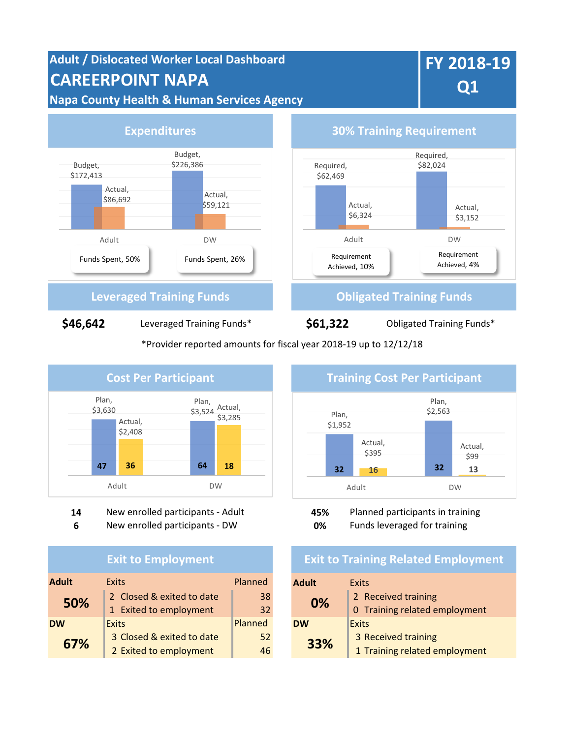# **Adult / Dislocated Worker Local Dashboard CAREERPOINT NAPA Napa County Health & Human Services Agency**

# **FY 2018-19 Q1**



\*Provider reported amounts for fiscal year 2018-19 up to 12/12/18



**14** New enrolled participants - Adult **45%** Planned participants in training

**6** New enrolled participants - DW **0%** Funds leveraged for training

## **Exit to Employment**

| <b>Adult</b><br><b>Exits</b> |                           | Planned<br><b>Adult</b> |           | <b>Exits</b>         |
|------------------------------|---------------------------|-------------------------|-----------|----------------------|
| 50%                          | 2 Closed & exited to date | 38                      | 0%        | 2 Received training  |
|                              | 1 Exited to employment    | 32                      |           | 0 Training related e |
| <b>DW</b><br><b>Exits</b>    |                           | Planned                 | <b>DW</b> | <b>Exits</b>         |
| 67%                          | 3 Closed & exited to date | 52                      | 33%       | 3 Received training  |
|                              | 2 Exited to employment    | 46                      |           | 1 Training related e |



## **Exit to Training Related Employment**

| xits                      | Planned |  | <b>Adult</b> | Exits                         |
|---------------------------|---------|--|--------------|-------------------------------|
| 2 Closed & exited to date | 38      |  | 0%           | 2 Received training           |
| L Exited to employment    | 32      |  |              | 0 Training related employment |
| xits                      | Planned |  | <b>DW</b>    | Exits                         |
| 3 Closed & exited to date | 52      |  | 33%          | 3 Received training           |
| 2 Exited to employment    | 46      |  |              | 1 Training related employment |